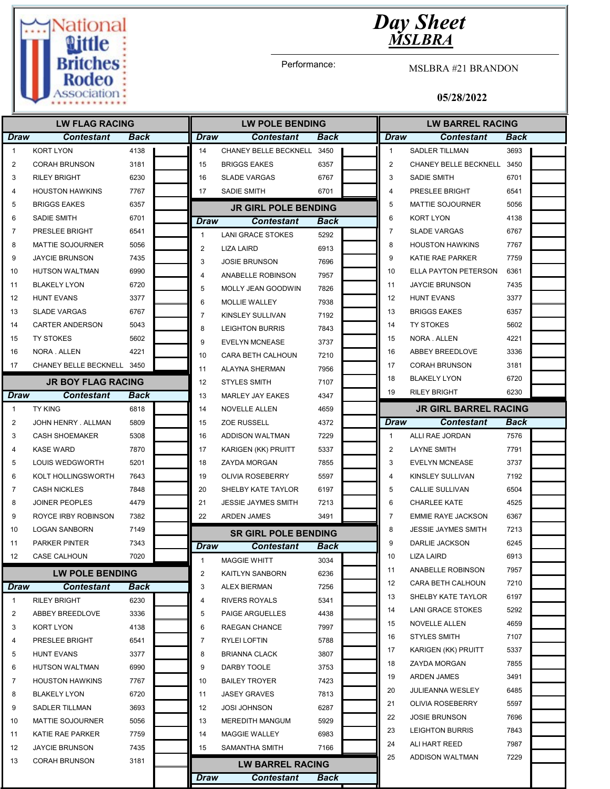

Performance:

MSLBRA #21 BRANDON

| <b>LW FLAG RACING</b> |                            |             | <b>LW POLE BENDING</b>  |                             |             | <b>LW BARREL RACING</b> |                              |      |  |
|-----------------------|----------------------------|-------------|-------------------------|-----------------------------|-------------|-------------------------|------------------------------|------|--|
| <b>Draw</b>           | Contestant                 | <b>Back</b> | <b>Draw</b>             | <b>Contestant</b>           | <b>Back</b> | <b>Draw</b>             | <b>Contestant</b>            | Back |  |
| $\mathbf{1}$          | <b>KORT LYON</b>           | 4138        | 14                      | CHANEY BELLE BECKNELL       | 3450        | $\mathbf{1}$            | <b>SADLER TILLMAN</b>        | 3693 |  |
| 2                     | <b>CORAH BRUNSON</b>       | 3181        | 15                      | <b>BRIGGS EAKES</b>         | 6357        | 2                       | CHANEY BELLE BECKNELL        | 3450 |  |
| 3                     | <b>RILEY BRIGHT</b>        | 6230        | 16                      | <b>SLADE VARGAS</b>         | 6767        | 3                       | <b>SADIE SMITH</b>           | 6701 |  |
| 4                     | <b>HOUSTON HAWKINS</b>     | 7767        | 17                      | SADIE SMITH                 | 6701        | $\overline{4}$          | PRESLEE BRIGHT               | 6541 |  |
| 5                     | <b>BRIGGS EAKES</b>        | 6357        |                         | <b>JR GIRL POLE BENDING</b> |             | 5                       | <b>MATTIE SOJOURNER</b>      | 5056 |  |
| 6                     | <b>SADIE SMITH</b>         | 6701        | Draw                    | <b>Contestant</b>           | Back        | 6                       | <b>KORT LYON</b>             | 4138 |  |
| $\overline{7}$        | PRESLEE BRIGHT             | 6541        | $\mathbf{1}$            | <b>LANI GRACE STOKES</b>    | 5292        | $\overline{7}$          | <b>SLADE VARGAS</b>          | 6767 |  |
| 8                     | <b>MATTIE SOJOURNER</b>    | 5056        | $\overline{2}$          | LIZA LAIRD                  | 6913        | 8                       | <b>HOUSTON HAWKINS</b>       | 7767 |  |
| 9                     | <b>JAYCIE BRUNSON</b>      | 7435        | 3                       | <b>JOSIE BRUNSON</b>        | 7696        | 9                       | KATIE RAE PARKER             | 7759 |  |
| 10                    | <b>HUTSON WALTMAN</b>      | 6990        | 4                       | ANABELLE ROBINSON           | 7957        | 10                      | ELLA PAYTON PETERSON         | 6361 |  |
| 11                    | <b>BLAKELY LYON</b>        | 6720        | 5                       | MOLLY JEAN GOODWIN          | 7826        | 11                      | <b>JAYCIE BRUNSON</b>        | 7435 |  |
| 12                    | <b>HUNT EVANS</b>          | 3377        | 6                       | MOLLIE WALLEY               | 7938        | 12                      | <b>HUNT EVANS</b>            | 3377 |  |
| 13                    | <b>SLADE VARGAS</b>        | 6767        | 7                       | KINSLEY SULLIVAN            | 7192        | 13                      | <b>BRIGGS EAKES</b>          | 6357 |  |
| 14                    | <b>CARTER ANDERSON</b>     | 5043        | 8                       | <b>LEIGHTON BURRIS</b>      | 7843        | 14                      | <b>TY STOKES</b>             | 5602 |  |
| 15                    | <b>TY STOKES</b>           | 5602        | 9                       | <b>EVELYN MCNEASE</b>       | 3737        | 15                      | NORA . ALLEN                 | 4221 |  |
| 16                    | NORA . ALLEN               | 4221        | 10                      | <b>CARA BETH CALHOUN</b>    | 7210        | 16                      | ABBEY BREEDLOVE              | 3336 |  |
| 17                    | CHANEY BELLE BECKNELL 3450 |             | 11                      | <b>ALAYNA SHERMAN</b>       | 7956        | 17                      | <b>CORAH BRUNSON</b>         | 3181 |  |
|                       | <b>JR BOY FLAG RACING</b>  |             | 12                      | <b>STYLES SMITH</b>         | 7107        | 18                      | <b>BLAKELY LYON</b>          | 6720 |  |
| Draw                  | <b>Contestant</b>          | Back        | 13                      | MARLEY JAY EAKES            | 4347        | 19                      | <b>RILEY BRIGHT</b>          | 6230 |  |
| $\mathbf{1}$          | <b>TY KING</b>             | 6818        | 14                      | <b>NOVELLE ALLEN</b>        | 4659        |                         | <b>JR GIRL BARREL RACING</b> |      |  |
| 2                     | JOHN HENRY, ALLMAN         | 5809        | 15                      | <b>ZOE RUSSELL</b>          | 4372        | <b>Draw</b>             | <b>Contestant</b>            | Back |  |
| 3                     | <b>CASH SHOEMAKER</b>      | 5308        | 16                      | ADDISON WALTMAN             | 7229        | $\mathbf{1}$            | ALLI RAE JORDAN              | 7576 |  |
| 4                     | <b>KASE WARD</b>           | 7870        | 17                      | KARIGEN (KK) PRUITT         | 5337        | 2                       | <b>LAYNE SMITH</b>           | 7791 |  |
| 5                     | LOUIS WEDGWORTH            | 5201        | 18                      | ZAYDA MORGAN                | 7855        | 3                       | <b>EVELYN MCNEASE</b>        | 3737 |  |
| 6                     | KOLT HOLLINGSWORTH         | 7643        | 19                      | <b>OLIVIA ROSEBERRY</b>     | 5597        | 4                       | KINSLEY SULLIVAN             | 7192 |  |
| 7                     | <b>CASH NICKLES</b>        | 7848        | 20                      | SHELBY KATE TAYLOR          | 6197        | 5                       | <b>CALLIE SULLIVAN</b>       | 6504 |  |
| 8                     | <b>JOINER PEOPLES</b>      | 4479        | 21                      | <b>JESSIE JAYMES SMITH</b>  | 7213        | 6                       | <b>CHARLEE KATE</b>          | 4525 |  |
| 9                     | <b>ROYCE IRBY ROBINSON</b> | 7382        | 22                      | <b>ARDEN JAMES</b>          | 3491        | $\overline{7}$          | <b>EMMIE RAYE JACKSON</b>    | 6367 |  |
| 10                    | <b>LOGAN SANBORN</b>       | 7149        |                         | <b>SR GIRL POLE BENDING</b> |             | 8                       | <b>JESSIE JAYMES SMITH</b>   | 7213 |  |
| 11                    | <b>PARKER PINTER</b>       | 7343        | Draw                    | <b>Contestant</b>           | Back        | 9                       | DARLIE JACKSON               | 6245 |  |
| 12                    | CASE CALHOUN               | 7020        | $\mathbf{1}$            | <b>MAGGIE WHITT</b>         | 3034        | 10                      | <b>LIZA LAIRD</b>            | 6913 |  |
|                       | <b>LW POLE BENDING</b>     |             | $\overline{\mathbf{c}}$ | KAITLYN SANBORN             | 6236        | 11                      | ANABELLE ROBINSON            | 7957 |  |
| Draw                  | <b>Contestant</b>          | Back        | 3                       | <b>ALEX BIERMAN</b>         | 7256        | 12                      | CARA BETH CALHOUN            | 7210 |  |
| $\mathbf{1}$          | <b>RILEY BRIGHT</b>        | 6230        | 4                       | RIVERS ROYALS               | 5341        | 13                      | SHELBY KATE TAYLOR           | 6197 |  |
| 2                     | ABBEY BREEDLOVE            | 3336        | 5                       | PAIGE ARGUELLES             | 4438        | 14                      | LANI GRACE STOKES            | 5292 |  |
| 3                     | KORT LYON                  | 4138        | 6                       | RAEGAN CHANCE               | 7997        | 15                      | NOVELLE ALLEN                | 4659 |  |
| 4                     | PRESLEE BRIGHT             | 6541        | 7                       | RYLEI LOFTIN                | 5788        | 16                      | <b>STYLES SMITH</b>          | 7107 |  |
| 5                     | <b>HUNT EVANS</b>          | 3377        | 8                       | <b>BRIANNA CLACK</b>        | 3807        | 17                      | KARIGEN (KK) PRUITT          | 5337 |  |
| 6                     | HUTSON WALTMAN             | 6990        | 9                       | DARBY TOOLE                 | 3753        | 18                      | ZAYDA MORGAN                 | 7855 |  |
| 7                     | <b>HOUSTON HAWKINS</b>     | 7767        | 10                      | <b>BAILEY TROYER</b>        | 7423        | 19                      | ARDEN JAMES                  | 3491 |  |
| 8                     | <b>BLAKELY LYON</b>        | 6720        | 11                      | <b>JASEY GRAVES</b>         | 7813        | 20                      | JULIEANNA WESLEY             | 6485 |  |
| 9                     | SADLER TILLMAN             | 3693        | 12                      | <b>JOSI JOHNSON</b>         | 6287        | 21                      | OLIVIA ROSEBERRY             | 5597 |  |
| 10                    | <b>MATTIE SOJOURNER</b>    | 5056        | 13                      | <b>MEREDITH MANGUM</b>      | 5929        | 22                      | <b>JOSIE BRUNSON</b>         | 7696 |  |
| 11                    | KATIE RAE PARKER           | 7759        | 14                      | <b>MAGGIE WALLEY</b>        | 6983        | 23                      | <b>LEIGHTON BURRIS</b>       | 7843 |  |
| 12                    | <b>JAYCIE BRUNSON</b>      | 7435        | 15                      | SAMANTHA SMITH              | 7166        | 24                      | ALI HART REED                | 7987 |  |
| 13                    | <b>CORAH BRUNSON</b>       | 3181        |                         |                             |             | 25                      | ADDISON WALTMAN              | 7229 |  |
|                       |                            |             |                         | <b>LW BARREL RACING</b>     |             |                         |                              |      |  |
|                       |                            |             | Draw                    | <b>Contestant</b>           | <b>Back</b> |                         |                              |      |  |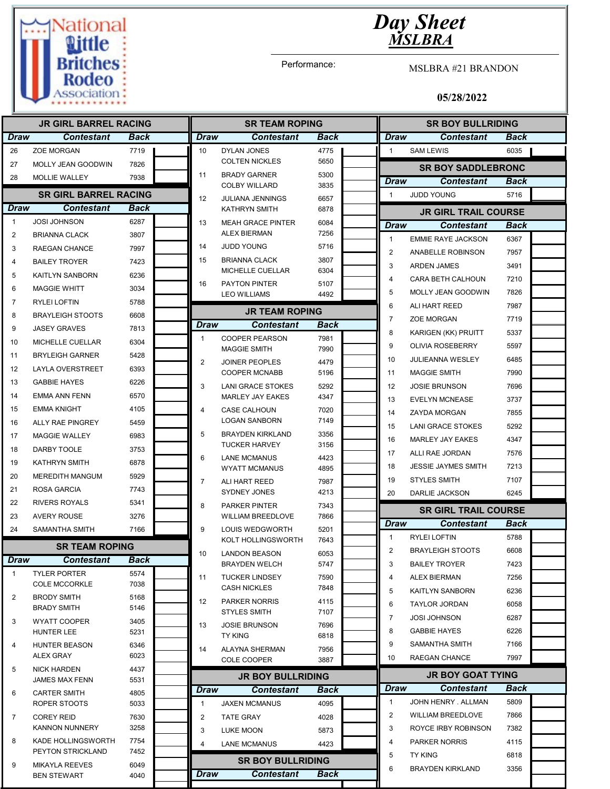

Performance:

MSLBRA #21 BRANDON

| <b>JR GIRL BARREL RACING</b> |                                          |              | <b>SR TEAM ROPING</b> |                                                 |              | <b>SR BOY BULLRIDING</b> |                         |                             |             |  |
|------------------------------|------------------------------------------|--------------|-----------------------|-------------------------------------------------|--------------|--------------------------|-------------------------|-----------------------------|-------------|--|
| <b>Draw</b>                  | <b>Contestant</b>                        | Back         | <b>Draw</b>           | <b>Contestant</b>                               | <b>Back</b>  |                          | <b>Draw</b>             | <b>Contestant</b>           | <b>Back</b> |  |
| 26                           | <b>ZOE MORGAN</b>                        | 7719         | 10                    | <b>DYLAN JONES</b>                              | 4775         |                          | $\mathbf{1}$            | <b>SAM LEWIS</b>            | 6035        |  |
| 27                           | MOLLY JEAN GOODWIN                       | 7826         |                       | <b>COLTEN NICKLES</b>                           | 5650         |                          |                         | <b>SR BOY SADDLEBRONC</b>   |             |  |
| 28                           | MOLLIE WALLEY                            | 7938         | 11                    | <b>BRADY GARNER</b><br><b>COLBY WILLARD</b>     | 5300<br>3835 |                          | <b>Draw</b>             | <b>Contestant</b>           | Back        |  |
|                              | <b>SR GIRL BARREL RACING</b>             |              | 12                    | <b>JULIANA JENNINGS</b>                         | 6657         |                          | $\mathbf{1}$            | <b>JUDD YOUNG</b>           | 5716        |  |
| <b>Draw</b>                  | <b>Contestant</b>                        | Back         |                       | KATHRYN SMITH                                   | 6878         |                          |                         | <b>JR GIRL TRAIL COURSE</b> |             |  |
| $\mathbf{1}$                 | <b>JOSI JOHNSON</b>                      | 6287         | 13                    | <b>MEAH GRACE PINTER</b>                        | 6084         |                          | Draw                    | <b>Contestant</b>           | Back        |  |
| 2                            | <b>BRIANNA CLACK</b>                     | 3807         |                       | <b>ALEX BIERMAN</b>                             | 7256         |                          | $\mathbf{1}$            | <b>EMMIE RAYE JACKSON</b>   | 6367        |  |
| 3                            | RAEGAN CHANCE                            | 7997         | 14                    | <b>JUDD YOUNG</b>                               | 5716         |                          | 2                       | ANABELLE ROBINSON           | 7957        |  |
| 4                            | <b>BAILEY TROYER</b>                     | 7423         | 15                    | <b>BRIANNA CLACK</b>                            | 3807         |                          | 3                       | <b>ARDEN JAMES</b>          | 3491        |  |
| 5                            | KAITLYN SANBORN                          | 6236         |                       | MICHELLE CUELLAR                                | 6304         |                          | $\overline{\mathbf{4}}$ | CARA BETH CALHOUN           | 7210        |  |
| 6                            | <b>MAGGIE WHITT</b>                      | 3034         | 16                    | PAYTON PINTER<br><b>LEO WILLIAMS</b>            | 5107<br>4492 |                          | 5                       | MOLLY JEAN GOODWIN          | 7826        |  |
| 7                            | <b>RYLEI LOFTIN</b>                      | 5788         |                       |                                                 |              |                          | 6                       | ALI HART REED               | 7987        |  |
| 8                            | <b>BRAYLEIGH STOOTS</b>                  | 6608         |                       | <b>JR TEAM ROPING</b>                           |              |                          | $\overline{7}$          | <b>ZOE MORGAN</b>           | 7719        |  |
| 9                            | <b>JASEY GRAVES</b>                      | 7813         | <b>Draw</b>           | <b>Contestant</b>                               | Back         |                          | 8                       | KARIGEN (KK) PRUITT         | 5337        |  |
| 10                           | MICHELLE CUELLAR                         | 6304         | $\mathbf{1}$          | <b>COOPER PEARSON</b><br><b>MAGGIE SMITH</b>    | 7981<br>7990 |                          | 9                       | <b>OLIVIA ROSEBERRY</b>     | 5597        |  |
| 11                           | <b>BRYLEIGH GARNER</b>                   | 5428         | $\overline{2}$        | <b>JOINER PEOPLES</b>                           | 4479         |                          | 10                      | <b>JULIEANNA WESLEY</b>     | 6485        |  |
| 12                           | <b>LAYLA OVERSTREET</b>                  | 6393         |                       | <b>COOPER MCNABB</b>                            | 5196         |                          | 11                      | <b>MAGGIE SMITH</b>         | 7990        |  |
| 13                           | <b>GABBIE HAYES</b>                      | 6226         | 3                     | <b>LANI GRACE STOKES</b>                        | 5292         |                          | 12                      | <b>JOSIE BRUNSON</b>        | 7696        |  |
| 14                           | <b>EMMA ANN FENN</b>                     | 6570         |                       | <b>MARLEY JAY EAKES</b>                         | 4347         |                          | 13                      | <b>EVELYN MCNEASE</b>       | 3737        |  |
| 15                           | <b>EMMA KNIGHT</b>                       | 4105         | $\overline{4}$        | <b>CASE CALHOUN</b>                             | 7020         |                          | 14                      | ZAYDA MORGAN                | 7855        |  |
| 16                           | ALLY RAE PINGREY                         | 5459         |                       | <b>LOGAN SANBORN</b>                            | 7149         |                          | 15                      | <b>LANI GRACE STOKES</b>    | 5292        |  |
| 17                           | <b>MAGGIE WALLEY</b>                     | 6983         | 5                     | <b>BRAYDEN KIRKLAND</b><br><b>TUCKER HARVEY</b> | 3356<br>3156 |                          | 16                      | <b>MARLEY JAY EAKES</b>     | 4347        |  |
| 18                           | <b>DARBY TOOLE</b>                       | 3753         | 6                     | <b>LANE MCMANUS</b>                             | 4423         |                          | 17                      | ALLI RAE JORDAN             | 7576        |  |
| 19                           | <b>KATHRYN SMITH</b>                     | 6878         |                       | <b>WYATT MCMANUS</b>                            | 4895         |                          | 18                      | <b>JESSIE JAYMES SMITH</b>  | 7213        |  |
| 20                           | <b>MEREDITH MANGUM</b>                   | 5929         | $\overline{7}$        | ALI HART REED                                   | 7987         |                          | 19                      | <b>STYLES SMITH</b>         | 7107        |  |
| 21                           | ROSA GARCIA                              | 7743         |                       | SYDNEY JONES                                    | 4213         |                          | 20                      | DARLIE JACKSON              | 6245        |  |
| 22                           | <b>RIVERS ROYALS</b>                     | 5341         | 8                     | <b>PARKER PINTER</b>                            | 7343         |                          |                         | <b>SR GIRL TRAIL COURSE</b> |             |  |
| 23                           | <b>AVERY ROUSE</b>                       | 3276         |                       | <b>WILLIAM BREEDLOVE</b>                        | 7866         |                          | <b>Draw</b>             | <b>Contestant</b>           | Back        |  |
| 24                           | <b>SAMANTHA SMITH</b>                    | 7166         | 9                     | LOUIS WEDGWORTH<br><b>KOLT HOLLINGSWORTH</b>    | 5201<br>7643 |                          | $\mathbf{1}$            | <b>RYLEI LOFTIN</b>         | 5788        |  |
|                              | <b>SR TEAM ROPING</b>                    |              | 10                    | <b>LANDON BEASON</b>                            | 6053         |                          | $\overline{2}$          | <b>BRAYLEIGH STOOTS</b>     | 6608        |  |
| Draw                         | <b>Contestant</b>                        | <b>Back</b>  |                       | <b>BRAYDEN WELCH</b>                            | 5747         |                          | 3                       | <b>BAILEY TROYER</b>        | 7423        |  |
| 1                            | <b>TYLER PORTER</b>                      | 5574         | 11                    | <b>TUCKER LINDSEY</b>                           | 7590         |                          | 4                       | <b>ALEX BIERMAN</b>         | 7256        |  |
|                              | <b>COLE MCCORKLE</b>                     | 7038         |                       | <b>CASH NICKLES</b>                             | 7848         |                          | 5                       | KAITLYN SANBORN             | 6236        |  |
| 2                            | <b>BRODY SMITH</b><br><b>BRADY SMITH</b> | 5168<br>5146 | 12                    | <b>PARKER NORRIS</b>                            | 4115         |                          | 6                       | <b>TAYLOR JORDAN</b>        | 6058        |  |
| 3                            | <b>WYATT COOPER</b>                      | 3405         |                       | <b>STYLES SMITH</b>                             | 7107         |                          | 7                       | <b>JOSI JOHNSON</b>         | 6287        |  |
|                              | <b>HUNTER LEE</b>                        | 5231         | 13                    | <b>JOSIE BRUNSON</b><br><b>TY KING</b>          | 7696<br>6818 |                          | 8                       | <b>GABBIE HAYES</b>         | 6226        |  |
| 4                            | <b>HUNTER BEASON</b>                     | 6346         | 14                    | <b>ALAYNA SHERMAN</b>                           | 7956         |                          | 9                       | <b>SAMANTHA SMITH</b>       | 7166        |  |
|                              | ALEX GRAY                                | 6023         |                       | <b>COLE COOPER</b>                              | 3887         |                          | 10                      | RAEGAN CHANCE               | 7997        |  |
| 5                            | <b>NICK HARDEN</b>                       | 4437         |                       | <b>JR BOY BULLRIDING</b>                        |              |                          |                         | <b>JR BOY GOAT TYING</b>    |             |  |
|                              | JAMES MAX FENN                           | 5531         | <b>Draw</b>           | <b>Contestant</b>                               | <b>Back</b>  |                          | <b>Draw</b>             | <b>Contestant</b>           | Back        |  |
| 6                            | <b>CARTER SMITH</b><br>ROPER STOOTS      | 4805<br>5033 | 1                     | <b>JAXEN MCMANUS</b>                            | 4095         |                          | $\mathbf{1}$            | JOHN HENRY . ALLMAN         | 5809        |  |
| 7                            | <b>COREY REID</b>                        | 7630         | $\overline{c}$        | <b>TATE GRAY</b>                                | 4028         |                          | 2                       | <b>WILLIAM BREEDLOVE</b>    | 7866        |  |
|                              | <b>KANNON NUNNERY</b>                    | 3258         | 3                     | LUKE MOON                                       | 5873         |                          | 3                       | ROYCE IRBY ROBINSON         | 7382        |  |
| 8                            | KADE HOLLINGSWORTH                       | 7754         | 4                     | <b>LANE MCMANUS</b>                             | 4423         |                          | 4                       | <b>PARKER NORRIS</b>        | 4115        |  |
|                              | PEYTON STRICKLAND                        | 7452         |                       |                                                 |              |                          | 5                       | <b>TY KING</b>              | 6818        |  |
| 9                            | <b>MIKAYLA REEVES</b>                    | 6049         |                       | <b>SR BOY BULLRIDING</b>                        |              |                          | 6                       | <b>BRAYDEN KIRKLAND</b>     | 3356        |  |
|                              | <b>BEN STEWART</b>                       | 4040         | Draw                  | <b>Contestant</b>                               | Back         |                          |                         |                             |             |  |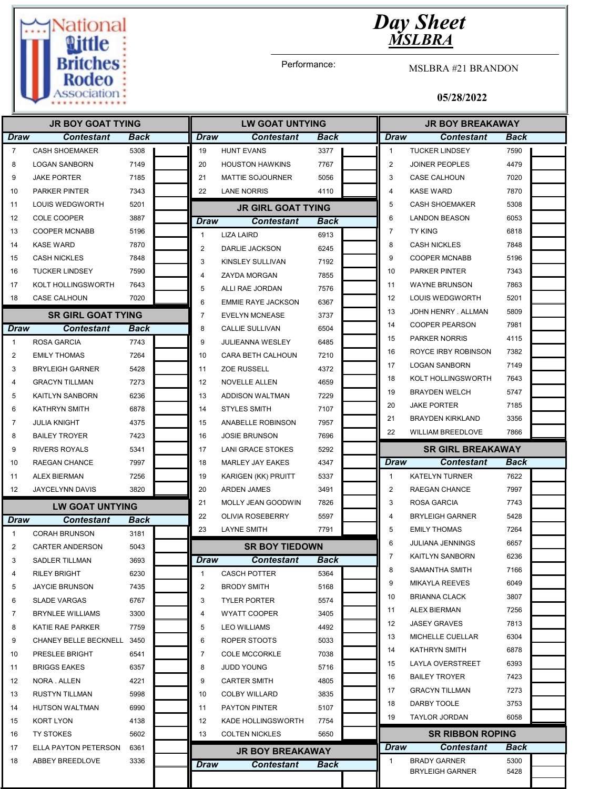

Performance:

MSLBRA #21 BRANDON

| <b>JR BOY GOAT TYING</b> |                           |      |                | <b>LW GOAT UNTYING</b>    |             | <b>JR BOY BREAKAWAY</b> |                          |      |  |
|--------------------------|---------------------------|------|----------------|---------------------------|-------------|-------------------------|--------------------------|------|--|
| <b>Draw</b>              | <b>Contestant</b>         | Back | Draw           | <b>Contestant</b>         | Back        | Draw                    | Contestant               | Back |  |
| $\overline{7}$           | <b>CASH SHOEMAKER</b>     | 5308 | 19             | <b>HUNT EVANS</b>         | 3377        | $\mathbf{1}$            | <b>TUCKER LINDSEY</b>    | 7590 |  |
| 8                        | <b>LOGAN SANBORN</b>      | 7149 | 20             | <b>HOUSTON HAWKINS</b>    | 7767        | $\overline{2}$          | <b>JOINER PEOPLES</b>    | 4479 |  |
| 9                        | <b>JAKE PORTER</b>        | 7185 | 21             | <b>MATTIE SOJOURNER</b>   | 5056        | 3                       | CASE CALHOUN             | 7020 |  |
| 10                       | <b>PARKER PINTER</b>      | 7343 | 22             | <b>LANE NORRIS</b>        | 4110        | $\overline{4}$          | <b>KASE WARD</b>         | 7870 |  |
| 11                       | LOUIS WEDGWORTH           | 5201 |                | <b>JR GIRL GOAT TYING</b> |             | 5                       | <b>CASH SHOEMAKER</b>    | 5308 |  |
| 12                       | <b>COLE COOPER</b>        | 3887 | Draw           | <b>Contestant</b>         | Back        | 6                       | <b>LANDON BEASON</b>     | 6053 |  |
| 13                       | <b>COOPER MCNABB</b>      | 5196 | $\mathbf{1}$   | <b>LIZA LAIRD</b>         | 6913        | $\overline{7}$          | <b>TY KING</b>           | 6818 |  |
| 14                       | <b>KASE WARD</b>          | 7870 | 2              | DARLIE JACKSON            | 6245        | 8                       | <b>CASH NICKLES</b>      | 7848 |  |
| 15                       | <b>CASH NICKLES</b>       | 7848 | 3              | KINSLEY SULLIVAN          | 7192        | 9                       | <b>COOPER MCNABB</b>     | 5196 |  |
| 16                       | <b>TUCKER LINDSEY</b>     | 7590 | $\overline{4}$ | <b>ZAYDA MORGAN</b>       | 7855        | 10                      | <b>PARKER PINTER</b>     | 7343 |  |
| 17                       | KOLT HOLLINGSWORTH        | 7643 | 5              | ALLI RAE JORDAN           | 7576        | 11                      | <b>WAYNE BRUNSON</b>     | 7863 |  |
| 18                       | CASE CALHOUN              | 7020 | 6              | <b>EMMIE RAYE JACKSON</b> | 6367        | 12                      | LOUIS WEDGWORTH          | 5201 |  |
|                          | <b>SR GIRL GOAT TYING</b> |      | $\overline{7}$ | <b>EVELYN MCNEASE</b>     | 3737        | 13                      | JOHN HENRY . ALLMAN      | 5809 |  |
| <b>Draw</b>              | <b>Contestant</b>         | Back | 8              | <b>CALLIE SULLIVAN</b>    | 6504        | 14                      | <b>COOPER PEARSON</b>    | 7981 |  |
| $\mathbf{1}$             | ROSA GARCIA               | 7743 | 9              | <b>JULIEANNA WESLEY</b>   | 6485        | 15                      | <b>PARKER NORRIS</b>     | 4115 |  |
| 2                        | <b>EMILY THOMAS</b>       | 7264 | 10             | CARA BETH CALHOUN         | 7210        | 16                      | ROYCE IRBY ROBINSON      | 7382 |  |
| 3                        | <b>BRYLEIGH GARNER</b>    | 5428 | 11             | <b>ZOE RUSSELL</b>        | 4372        | 17                      | <b>LOGAN SANBORN</b>     | 7149 |  |
| 4                        | <b>GRACYN TILLMAN</b>     | 7273 | 12             | NOVELLE ALLEN             | 4659        | 18                      | KOLT HOLLINGSWORTH       | 7643 |  |
| 5                        | <b>KAITLYN SANBORN</b>    | 6236 | 13             | ADDISON WALTMAN           | 7229        | 19                      | <b>BRAYDEN WELCH</b>     | 5747 |  |
| 6                        | <b>KATHRYN SMITH</b>      | 6878 | 14             | <b>STYLES SMITH</b>       | 7107        | 20                      | <b>JAKE PORTER</b>       | 7185 |  |
| 7                        | <b>JULIA KNIGHT</b>       | 4375 | 15             | ANABELLE ROBINSON         | 7957        | 21                      | <b>BRAYDEN KIRKLAND</b>  | 3356 |  |
| 8                        | <b>BAILEY TROYER</b>      | 7423 | 16             | <b>JOSIE BRUNSON</b>      | 7696        | 22                      | <b>WILLIAM BREEDLOVE</b> | 7866 |  |
| 9                        | <b>RIVERS ROYALS</b>      | 5341 | 17             | <b>LANI GRACE STOKES</b>  | 5292        |                         | <b>SR GIRL BREAKAWAY</b> |      |  |
| 10                       | RAEGAN CHANCE             | 7997 | 18             | MARLEY JAY EAKES          | 4347        | Draw                    | <b>Contestant</b>        | Back |  |
| 11                       | <b>ALEX BIERMAN</b>       | 7256 | 19             | KARIGEN (KK) PRUITT       | 5337        | $\mathbf{1}$            | <b>KATELYN TURNER</b>    | 7622 |  |
| $12 \overline{ }$        | <b>JAYCELYNN DAVIS</b>    | 3820 | 20             | ARDEN JAMES               | 3491        | $\overline{2}$          | <b>RAEGAN CHANCE</b>     | 7997 |  |
| <b>LW GOAT UNTYING</b>   |                           |      | 21             | MOLLY JEAN GOODWIN        | 7826        | 3                       | <b>ROSA GARCIA</b>       | 7743 |  |
| <b>Draw</b>              | <b>Contestant</b>         | Back | 22             | <b>OLIVIA ROSEBERRY</b>   | 5597        | $\overline{4}$          | <b>BRYLEIGH GARNER</b>   | 5428 |  |
| $\mathbf{1}$             | <b>CORAH BRUNSON</b>      | 3181 | 23             | <b>LAYNE SMITH</b>        | 7791        | 5                       | <b>EMILY THOMAS</b>      | 7264 |  |
| 2                        | <b>CARTER ANDERSON</b>    | 5043 |                | <b>SR BOY TIEDOWN</b>     |             | 6                       | <b>JULIANA JENNINGS</b>  | 6657 |  |
| 3                        | SADLER TILLMAN            | 3693 | Draw           | <b>Contestant</b>         | <b>Back</b> | $\overline{7}$          | <b>KAITLYN SANBORN</b>   | 6236 |  |
| 4                        | <b>RILEY BRIGHT</b>       | 6230 | $\mathbf{1}$   | <b>CASCH POTTER</b>       | 5364        | 8                       | SAMANTHA SMITH           | 7166 |  |
| 5                        | <b>JAYCIE BRUNSON</b>     | 7435 | $\overline{c}$ | <b>BRODY SMITH</b>        | 5168        | 9                       | <b>MIKAYLA REEVES</b>    | 6049 |  |
| 6                        | <b>SLADE VARGAS</b>       | 6767 | 3              | <b>TYLER PORTER</b>       | 5574        | 10                      | <b>BRIANNA CLACK</b>     | 3807 |  |
| 7                        | <b>BRYNLEE WILLIAMS</b>   | 3300 | 4              | WYATT COOPER              | 3405        | 11                      | <b>ALEX BIERMAN</b>      | 7256 |  |
| 8                        | KATIE RAE PARKER          | 7759 | 5              | <b>LEO WILLIAMS</b>       | 4492        | 12                      | <b>JASEY GRAVES</b>      | 7813 |  |
| 9                        | CHANEY BELLE BECKNELL     | 3450 | 6              | ROPER STOOTS              | 5033        | 13                      | MICHELLE CUELLAR         | 6304 |  |
| 10                       | PRESLEE BRIGHT            | 6541 | 7              | <b>COLE MCCORKLE</b>      | 7038        | 14                      | KATHRYN SMITH            | 6878 |  |
| 11                       | <b>BRIGGS EAKES</b>       | 6357 | 8              | <b>JUDD YOUNG</b>         | 5716        | 15                      | LAYLA OVERSTREET         | 6393 |  |
| 12                       | NORA . ALLEN              | 4221 | 9              | <b>CARTER SMITH</b>       | 4805        | 16                      | <b>BAILEY TROYER</b>     | 7423 |  |
| 13                       | RUSTYN TILLMAN            | 5998 | 10             | <b>COLBY WILLARD</b>      | 3835        | 17                      | <b>GRACYN TILLMAN</b>    | 7273 |  |
| 14                       | HUTSON WALTMAN            | 6990 | 11             | PAYTON PINTER             | 5107        | 18                      | DARBY TOOLE              | 3753 |  |
| 15                       | KORT LYON                 | 4138 | 12             | KADE HOLLINGSWORTH        | 7754        | 19                      | TAYLOR JORDAN            | 6058 |  |
| 16                       | <b>TY STOKES</b>          | 5602 | 13             | <b>COLTEN NICKLES</b>     | 5650        |                         | <b>SR RIBBON ROPING</b>  |      |  |
| 17                       | ELLA PAYTON PETERSON      | 6361 |                | <b>JR BOY BREAKAWAY</b>   |             | <b>Draw</b>             | Contestant               | Back |  |
| 18                       | ABBEY BREEDLOVE           | 3336 | Draw           | <b>Contestant</b>         | <b>Back</b> | $\mathbf{1}$            | <b>BRADY GARNER</b>      | 5300 |  |
|                          |                           |      |                |                           |             |                         |                          |      |  |
|                          |                           |      |                |                           |             |                         | <b>BRYLEIGH GARNER</b>   | 5428 |  |